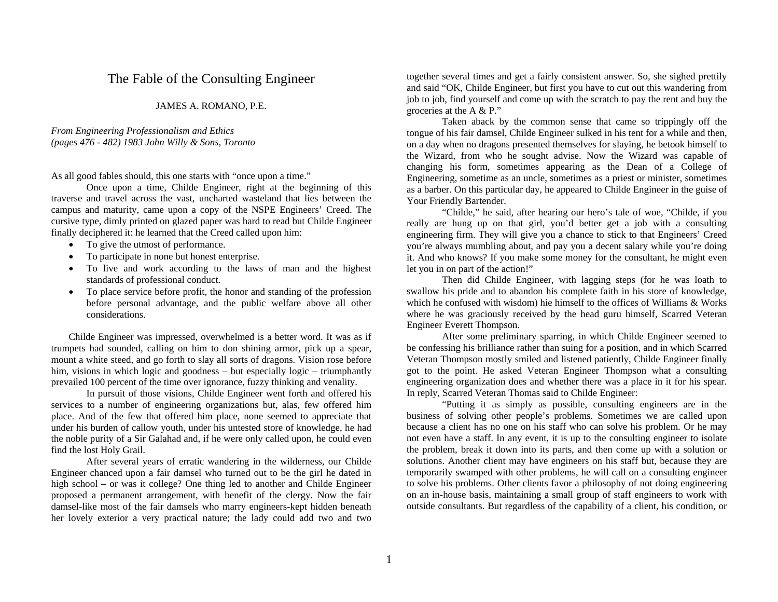## The Fable of the Consulting Engineer

## JAMES A. ROMANO, P.E.

## *From Engineering Professionalism and Ethics (pages 476 - 482) 1983 John Willy & Sons, Toronto*

As all good fables should, this one starts with "once upon a time."

 Once upon a time, Childe Engineer, right at the beginning of this traverse and travel across the vast, uncharted wasteland that lies between the campus and maturity, came upon a copy of the NSPE Engineers' Creed. The cursive type, dimly printed on glazed paper was hard to read but Childe Engineer finally deciphered it: he learned that the Creed called upon him:

- •To give the utmost of performance.
- •To participate in none but honest enterprise.
- • To live and work according to the laws of man and the highest standards of professional conduct.
- To place service before profit, the honor and standing of the profession before personal advantage, and the public welfare above all other considerations.

Childe Engineer was impressed, overwhelmed is a better word. It was as if trumpets had sounded, calling on him to don shining armor, pick up a spear, mount a white steed, and go forth to slay all sorts of dragons. Vision rose before him, visions in which logic and goodness – but especially logic – triumphantly prevailed 100 percent of the time over ignorance, fuzzy thinking and venality.

 In pursuit of those visions, Childe Engineer went forth and offered his services to a number of engineering organizations but, alas, few offered him place. And of the few that offered him place, none seemed to appreciate that under his burden of callow youth, under his untested store of knowledge, he had the noble purity of a Sir Galahad and, if he were only called upon, he could even find the lost Holy Grail.

 After several years of erratic wandering in the wilderness, our Childe Engineer chanced upon a fair damsel who turned out to be the girl he dated in high school – or was it college? One thing led to another and Childe Engineer proposed a permanent arrangement, with benefit of the clergy. Now the fair damsel-like most of the fair damsels who marry engineers-kept hidden beneath her lovely exterior a very practical nature; the lady could add two and two together several times and get a fairly consistent answer. So, she sighed prettily and said "OK, Childe Engineer, but first you have to cut out this wandering from job to job, find yourself and come up with the scratch to pay the rent and buy the groceries at the A & P."

 Taken aback by the common sense that came so trippingly off the tongue of his fair damsel, Childe Engineer sulked in his tent for a while and then, on a day when no dragons presented themselves for slaying, he betook himself to the Wizard, from who he sought advise. Now the Wizard was capable of changing his form, sometimes appearing as the Dean of a College of Engineering, sometime as an uncle, sometimes as a priest or minister, sometimes as a barber. On this particular day, he appeared to Childe Engineer in the guise of Your Friendly Bartender.

 "Childe," he said, after hearing our hero's tale of woe, "Childe, if you really are hung up on that girl, you'd better get a job with a consulting engineering firm. They will give you a chance to stick to that Engineers' Creed you're always mumbling about, and pay you a decent salary while you're doing it. And who knows? If you make some money for the consultant, he might even let you in on part of the action!"

 Then did Childe Engineer, with lagging steps (for he was loath to swallow his pride and to abandon his complete faith in his store of knowledge, which he confused with wisdom) hie himself to the offices of Williams & Works where he was graciously received by the head guru himself, Scarred Veteran Engineer Everett Thompson.

 After some preliminary sparring, in which Childe Engineer seemed to be confessing his brilliance rather than suing for a position, and in which Scarred Veteran Thompson mostly smiled and listened patiently, Childe Engineer finally got to the point. He asked Veteran Engineer Thompson what a consulting engineering organization does and whether there was a place in it for his spear. In reply, Scarred Veteran Thomas said to Childe Engineer:

 "Putting it as simply as possible, consulting engineers are in the business of solving other people's problems. Sometimes we are called upon because a client has no one on his staff who can solve his problem. Or he may not even have a staff. In any event, it is up to the consulting engineer to isolate the problem, break it down into its parts, and then come up with a solution or solutions. Another client may have engineers on his staff but, because they are temporarily swamped with other problems, he will call on a consulting engineer to solve his problems. Other clients favor a philosophy of not doing engineering on an in-house basis, maintaining a small group of staff engineers to work with outside consultants. But regardless of the capability of a client, his condition, or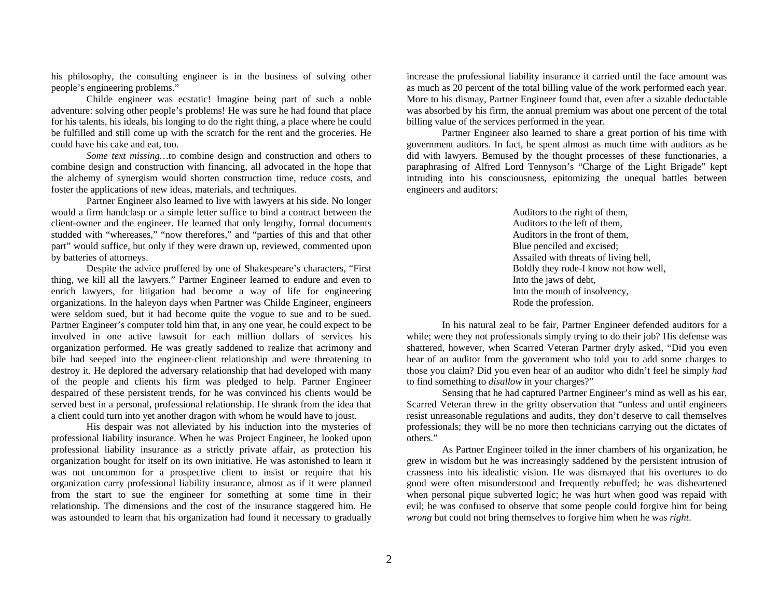his philosophy, the consulting engineer is in the business of solving other people's engineering problems."

 Childe engineer was ecstatic! Imagine being part of such a noble adventure: solving other people's problems! He was sure he had found that place for his talents, his ideals, his longing to do the right thing, a place where he could be fulfilled and still come up with the scratch for the rent and the groceries. He could have his cake and eat, too.

*Some text missing…*to combine design and construction and others to combine design and construction with financing, all advocated in the hope that the alchemy of synergism would shorten construction time, reduce costs, and foster the applications of new ideas, materials, and techniques.

 Partner Engineer also learned to live with lawyers at his side. No longer would a firm handclasp or a simple letter suffice to bind a contract between the client-owner and the engineer. He learned that only lengthy, formal documents studded with "whereases," "now therefores," and "parties of this and that other par<sup>t</sup>" would suffice, but only if they were drawn up, reviewed, commented upon by batteries of attorneys.

 Despite the advice proffered by one of Shakespeare's characters, "First thing, we kill all the lawyers." Partner Engineer learned to endure and even to enrich lawyers, for litigation had become a way of life for engineering organizations. In the haleyon days when Partner was Childe Engineer, engineers were seldom sued, but it had become quite the vogue to sue and to be sued. Partner Engineer's computer told him that, in any one year, he could expect to be involved in one active lawsuit for each million dollars of services his organization performed. He was greatly saddened to realize that acrimony and bile had seeped into the engineer-client relationship and were threatening to destroy it. He deplored the adversary relationship that had developed with many of the people and clients his firm was pledged to help. Partner Engineer despaired of these persistent trends, for he was convinced his clients would be served best in a personal, professional relationship. He shrank from the idea that a client could turn into yet another dragon with whom he would have to joust.

His despair was not alleviated by his induction into the mysteries of professional liability insurance. When he was Project Engineer, he looked upon professional liability insurance as a strictly private affair, as protection his organization bought for itself on its own initiative. He was astonished to learn it was not uncommon for a prospective client to insist or require that his organization carry professional liability insurance, almost as if it were planned from the start to sue the engineer for something at some time in their relationship. The dimensions and the cost of the insurance staggered him. He was astounded to learn that his organization had found it necessary to gradually

increase the professional liability insurance it carried until the face amount was as much as 20 percent of the total billing value of the work performed each year. More to his dismay, Partner Engineer found that, even after a sizable deductable was absorbed by his firm, the annual premium was about one percent of the total billing value of the services performed in the year.

 Partner Engineer also learned to share a great portion of his time with government auditors. In fact, he spent almost as much time with auditors as he did with lawyers. Bemused by the thought processes of these functionaries, a paraphrasing of Alfred Lord Tennyson's "Charge of the Light Brigade" kept intruding into his consciousness, epitomizing the unequal battles between engineers and auditors:

> Auditors to the right of them, Auditors to the left of them, Auditors in the front of them, Blue penciled and excised; Assailed with threats of living hell, Boldly they rode-I know not how well, Into the jaws of debt, Into the mouth of insolvency, Rode the profession.

In his natural zeal to be fair, Partner Engineer defended auditors for a while; were they not professionals simply trying to do their job? His defense was shattered, however, when Scarred Veteran Partner dryly asked, "Did you even hear of an auditor from the government who told you to add some charges to those you claim? Did you even hear of an auditor who didn't feel he simply *had* to find something to *disallow* in your charges?"

 Sensing that he had captured Partner Engineer's mind as well as his ear, Scarred Veteran threw in the gritty observation that "unless and until engineers resist unreasonable regulations and audits, they don't deserve to call themselves professionals; they will be no more then technicians carrying out the dictates of others."

 As Partner Engineer toiled in the inner chambers of his organization, he grew in wisdom but he was increasingly saddened by the persistent intrusion of crassness into his idealistic vision. He was dismayed that his overtures to do good were often misunderstood and frequently rebuffed; he was disheartened when personal pique subverted logic; he was hurt when good was repaid with evil; he was confused to observe that some people could forgive him for being *wrong* but could not bring themselves to forgive him when he was *right*.